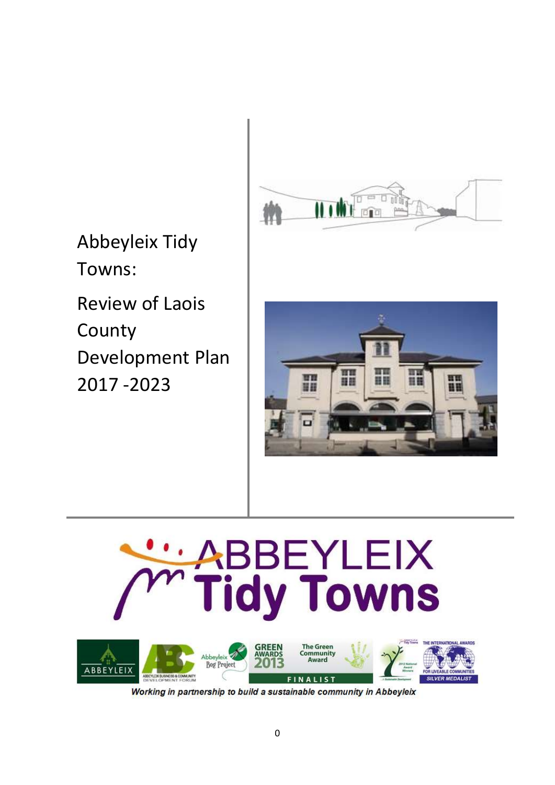

Abbeyleix Tidy Towns:

Review of Laois County Development Plan 2017 -2023





Working in partnership to build a sustainable community in Abbeyleix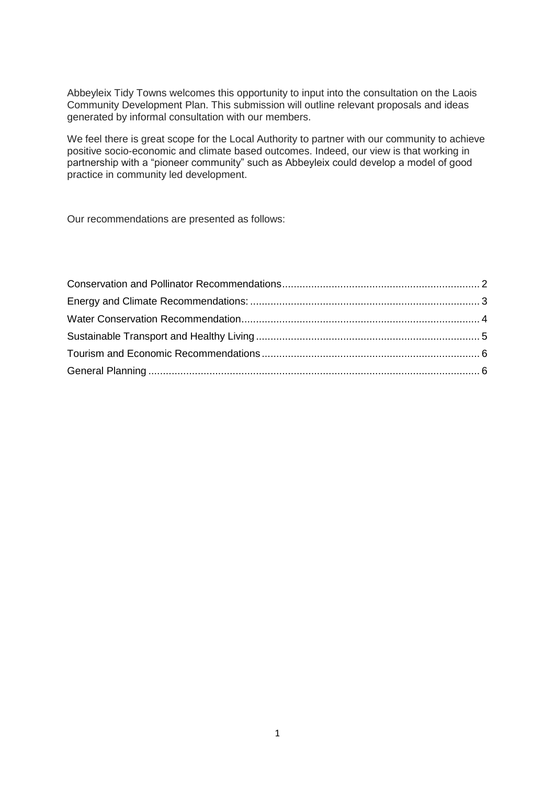Abbeyleix Tidy Towns welcomes this opportunity to input into the consultation on the Laois Community Development Plan. This submission will outline relevant proposals and ideas generated by informal consultation with our members.

We feel there is great scope for the Local Authority to partner with our community to achieve positive socio-economic and climate based outcomes. Indeed, our view is that working in partnership with a "pioneer community" such as Abbeyleix could develop a model of good practice in community led development.

Our recommendations are presented as follows: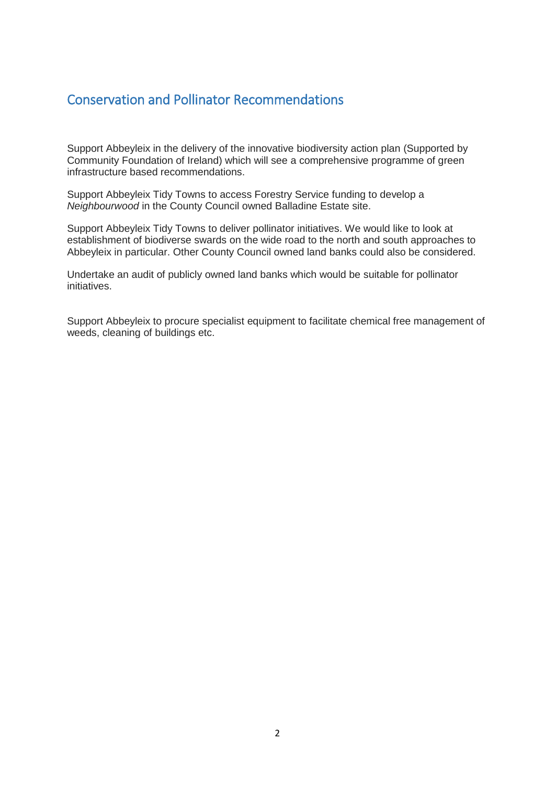#### <span id="page-2-0"></span>Conservation and Pollinator Recommendations

Support Abbeyleix in the delivery of the innovative biodiversity action plan (Supported by Community Foundation of Ireland) which will see a comprehensive programme of green infrastructure based recommendations.

Support Abbeyleix Tidy Towns to access Forestry Service funding to develop a *Neighbourwood* in the County Council owned Balladine Estate site.

Support Abbeyleix Tidy Towns to deliver pollinator initiatives. We would like to look at establishment of biodiverse swards on the wide road to the north and south approaches to Abbeyleix in particular. Other County Council owned land banks could also be considered.

Undertake an audit of publicly owned land banks which would be suitable for pollinator initiatives.

Support Abbeyleix to procure specialist equipment to facilitate chemical free management of weeds, cleaning of buildings etc.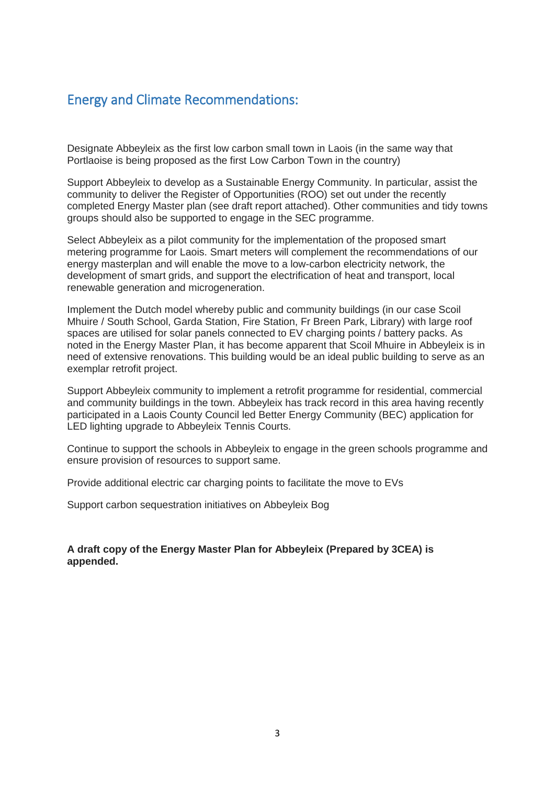### <span id="page-3-0"></span>Energy and Climate Recommendations:

Designate Abbeyleix as the first low carbon small town in Laois (in the same way that Portlaoise is being proposed as the first Low Carbon Town in the country)

Support Abbeyleix to develop as a Sustainable Energy Community. In particular, assist the community to deliver the Register of Opportunities (ROO) set out under the recently completed Energy Master plan (see draft report attached). Other communities and tidy towns groups should also be supported to engage in the SEC programme.

Select Abbeyleix as a pilot community for the implementation of the proposed smart metering programme for Laois. Smart meters will complement the recommendations of our energy masterplan and will enable the move to a low-carbon electricity network, the development of smart grids, and support the electrification of heat and transport, local renewable generation and microgeneration.

Implement the Dutch model whereby public and community buildings (in our case Scoil Mhuire / South School, Garda Station, Fire Station, Fr Breen Park, Library) with large roof spaces are utilised for solar panels connected to EV charging points / battery packs. As noted in the Energy Master Plan, it has become apparent that Scoil Mhuire in Abbeyleix is in need of extensive renovations. This building would be an ideal public building to serve as an exemplar retrofit project.

Support Abbeyleix community to implement a retrofit programme for residential, commercial and community buildings in the town. Abbeyleix has track record in this area having recently participated in a Laois County Council led Better Energy Community (BEC) application for LED lighting upgrade to Abbeyleix Tennis Courts.

Continue to support the schools in Abbeyleix to engage in the green schools programme and ensure provision of resources to support same.

Provide additional electric car charging points to facilitate the move to EVs

Support carbon sequestration initiatives on Abbeyleix Bog

**A draft copy of the Energy Master Plan for Abbeyleix (Prepared by 3CEA) is appended.**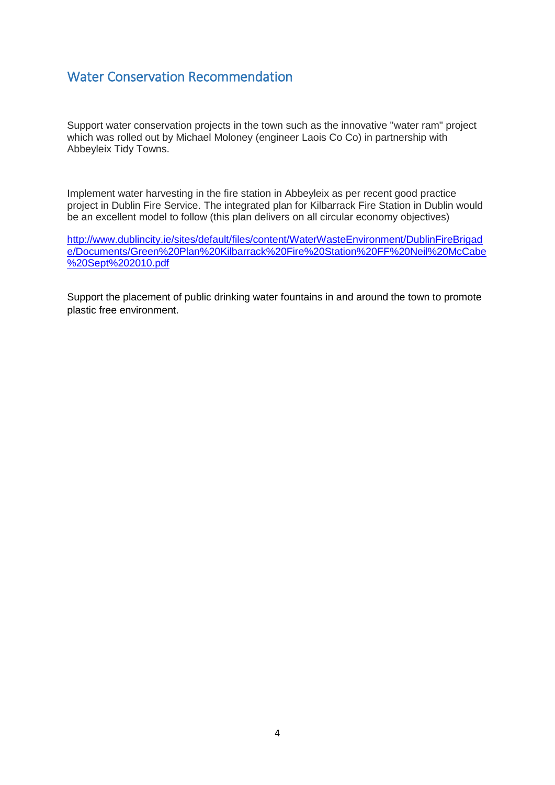## <span id="page-4-0"></span>Water Conservation Recommendation

Support water conservation projects in the town such as the innovative "water ram" project which was rolled out by Michael Moloney (engineer Laois Co Co) in partnership with Abbeyleix Tidy Towns.

Implement water harvesting in the fire station in Abbeyleix as per recent good practice project in Dublin Fire Service. The integrated plan for Kilbarrack Fire Station in Dublin would be an excellent model to follow (this plan delivers on all circular economy objectives)

[http://www.dublincity.ie/sites/default/files/content/WaterWasteEnvironment/DublinFireBrigad](http://www.dublincity.ie/sites/default/files/content/WaterWasteEnvironment/DublinFireBrigade/Documents/Green%20Plan%20Kilbarrack%20Fire%20Station%20FF%20Neil%20McCabe%20Sept%202010.pdf) [e/Documents/Green%20Plan%20Kilbarrack%20Fire%20Station%20FF%20Neil%20McCabe](http://www.dublincity.ie/sites/default/files/content/WaterWasteEnvironment/DublinFireBrigade/Documents/Green%20Plan%20Kilbarrack%20Fire%20Station%20FF%20Neil%20McCabe%20Sept%202010.pdf) [%20Sept%202010.pdf](http://www.dublincity.ie/sites/default/files/content/WaterWasteEnvironment/DublinFireBrigade/Documents/Green%20Plan%20Kilbarrack%20Fire%20Station%20FF%20Neil%20McCabe%20Sept%202010.pdf)

Support the placement of public drinking water fountains in and around the town to promote plastic free environment.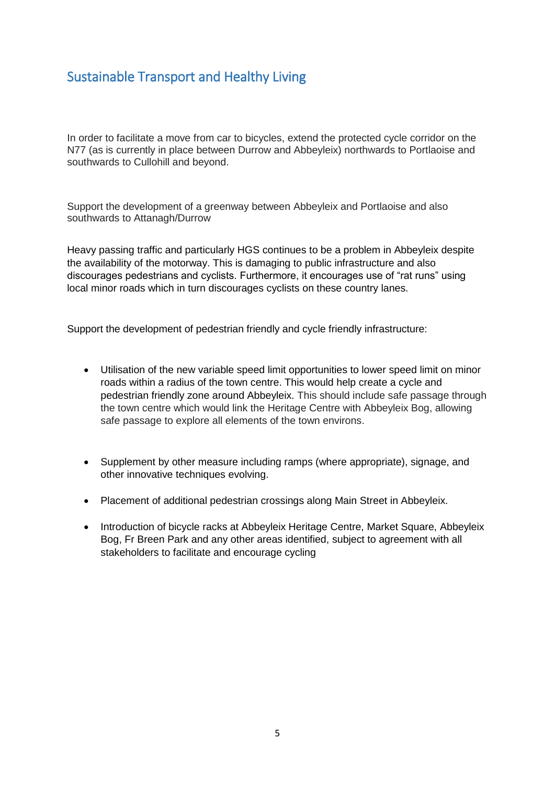# <span id="page-5-0"></span>Sustainable Transport and Healthy Living

In order to facilitate a move from car to bicycles, extend the protected cycle corridor on the N77 (as is currently in place between Durrow and Abbeyleix) northwards to Portlaoise and southwards to Cullohill and beyond.

Support the development of a greenway between Abbeyleix and Portlaoise and also southwards to Attanagh/Durrow

Heavy passing traffic and particularly HGS continues to be a problem in Abbeyleix despite the availability of the motorway. This is damaging to public infrastructure and also discourages pedestrians and cyclists. Furthermore, it encourages use of "rat runs" using local minor roads which in turn discourages cyclists on these country lanes.

Support the development of pedestrian friendly and cycle friendly infrastructure:

- Utilisation of the new variable speed limit opportunities to lower speed limit on minor roads within a radius of the town centre. This would help create a cycle and pedestrian friendly zone around Abbeyleix. This should include safe passage through the town centre which would link the Heritage Centre with Abbeyleix Bog, allowing safe passage to explore all elements of the town environs.
- Supplement by other measure including ramps (where appropriate), signage, and other innovative techniques evolving.
- Placement of additional pedestrian crossings along Main Street in Abbeyleix.
- Introduction of bicycle racks at Abbeyleix Heritage Centre, Market Square, Abbeyleix Bog, Fr Breen Park and any other areas identified, subject to agreement with all stakeholders to facilitate and encourage cycling